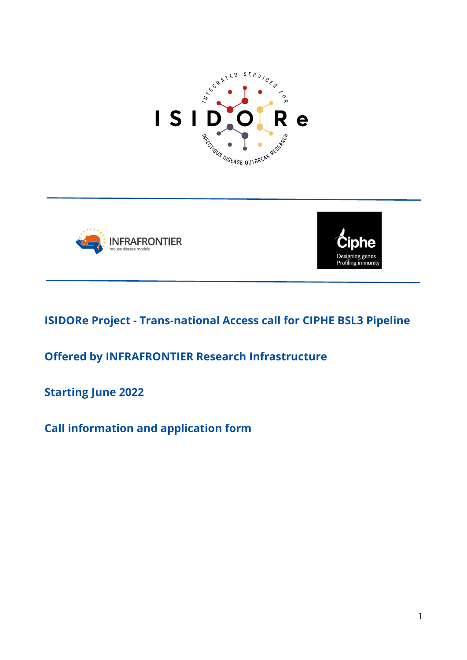





# **ISIDORe Project - Trans-national Access call for CIPHE BSL3 Pipeline**

**Offered by INFRAFRONTIER Research Infrastructure** 

**Starting June 2022**

**Call information and application form**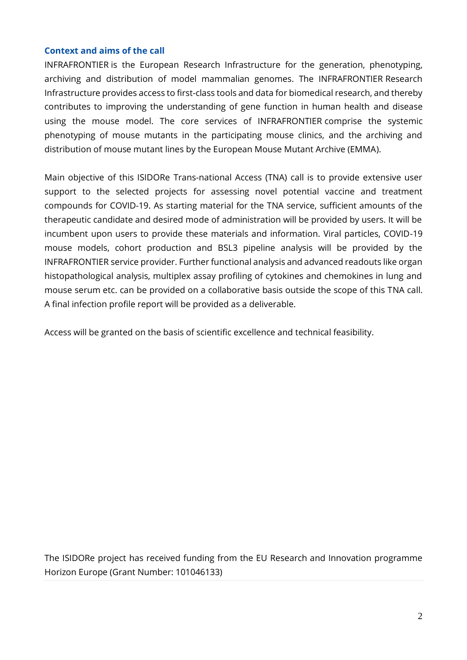### **Context and aims of the call**

INFRAFRONTIER is the European Research Infrastructure for the generation, phenotyping, archiving and distribution of model mammalian genomes. The INFRAFRONTIER Research Infrastructure provides access to first-class tools and data for biomedical research, and thereby contributes to improving the understanding of gene function in human health and disease using the mouse model. The core services of INFRAFRONTIER comprise the systemic phenotyping of mouse mutants in the participating mouse clinics, and the archiving and distribution of mouse mutant lines by the European Mouse Mutant Archive (EMMA).

Main objective of this ISIDORe Trans-national Access (TNA) call is to provide extensive user support to the selected projects for assessing novel potential vaccine and treatment compounds for COVID-19. As starting material for the TNA service, sufficient amounts of the therapeutic candidate and desired mode of administration will be provided by users. It will be incumbent upon users to provide these materials and information. Viral particles, COVID-19 mouse models, cohort production and BSL3 pipeline analysis will be provided by the INFRAFRONTIER service provider. Further functional analysis and advanced readouts like organ histopathological analysis, multiplex assay profiling of cytokines and chemokines in lung and mouse serum etc. can be provided on a collaborative basis outside the scope of this TNA call. A final infection profile report will be provided as a deliverable.

Access will be granted on the basis of scientific excellence and technical feasibility.

The ISIDORe project has received funding from the EU Research and Innovation programme Horizon Europe (Grant Number: 101046133)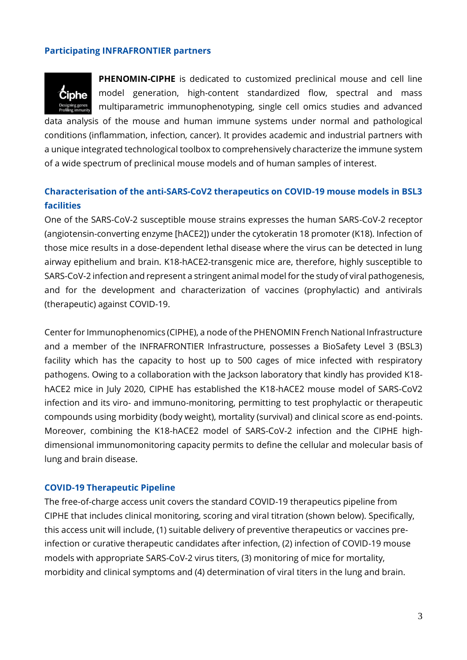### **Participating INFRAFRONTIER partners**



**PHENOMIN-CIPHE** is dedicated to customized preclinical mouse and cell line model generation, high-content standardized flow, spectral and mass multiparametric immunophenotyping, single cell omics studies and advanced

data analysis of the mouse and human immune systems under normal and pathological conditions (inflammation, infection, cancer). It provides academic and industrial partners with a unique integrated technological toolbox to comprehensively characterize the immune system of a wide spectrum of preclinical mouse models and of human samples of interest.

# **Characterisation of the anti-SARS-CoV2 therapeutics on COVID-19 mouse models in BSL3 facilities**

One of the SARS-CoV-2 susceptible mouse strains expresses the human SARS-CoV-2 receptor (angiotensin-converting enzyme [hACE2]) under the cytokeratin 18 promoter (K18). Infection of those mice results in a dose-dependent lethal disease where the virus can be detected in lung airway epithelium and brain. K18-hACE2-transgenic mice are, therefore, highly susceptible to SARS-CoV-2 infection and represent a stringent animal model for the study of viral pathogenesis, and for the development and characterization of vaccines (prophylactic) and antivirals (therapeutic) against COVID-19.

Center for Immunophenomics (CIPHE), a node of the PHENOMIN French National Infrastructure and a member of the INFRAFRONTIER Infrastructure, possesses a BioSafety Level 3 (BSL3) facility which has the capacity to host up to 500 cages of mice infected with respiratory pathogens. Owing to a collaboration with the Jackson laboratory that kindly has provided K18 hACE2 mice in July 2020, CIPHE has established the K18-hACE2 mouse model of SARS-CoV2 infection and its viro- and immuno-monitoring, permitting to test prophylactic or therapeutic compounds using morbidity (body weight), mortality (survival) and clinical score as end-points. Moreover, combining the K18-hACE2 model of SARS-CoV-2 infection and the CIPHE highdimensional immunomonitoring capacity permits to define the cellular and molecular basis of lung and brain disease.

### **COVID-19 Therapeutic Pipeline**

The free-of-charge access unit covers the standard COVID-19 therapeutics pipeline from CIPHE that includes clinical monitoring, scoring and viral titration (shown below). Specifically, this access unit will include, (1) suitable delivery of preventive therapeutics or vaccines preinfection or curative therapeutic candidates after infection, (2) infection of COVID-19 mouse models with appropriate SARS-CoV-2 virus titers, (3) monitoring of mice for mortality, morbidity and clinical symptoms and (4) determination of viral titers in the lung and brain.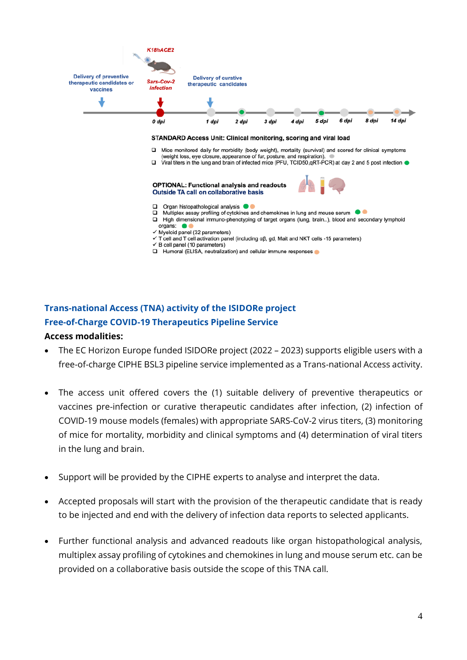

#### STANDARD Access Unit: Clinical monitoring, scoring and viral load

- $\Box$ Mice monitored daily for morbidity (body weight), mortality (survival) and scored for clinical symptoms (weight loss, eye closure, appearance of fur, posture, and respiration).
- □ Viral titers in the lung and brain of infected mice (PFU, TCID50, qRT-PCR) at day 2 and 5 post infection ●

#### **OPTIONAL: Functional analysis and readouts Outside TA call on collaborative basis**



- Organ histopathological analysis <sup>@</sup>  $\Box$
- $\Box$ Multiplex assay profiling of cytokines and chemokines in lung and mouse serum
- High dimensional immuno-phenotyping of target organs (lung, brain..), blood and secondary lymphoid organs:
- $\checkmark$  Myeloid panel (32 parameters)
- $\checkmark$  T cell and T cell activation panel (including  $\alpha\beta$ , gd, Mait and NKT cells -15 parameters)
- $\checkmark$  B cell panel (10 parameters)
- Humoral (ELISA, neutralization) and cellular immune responses

# **Trans-national Access (TNA) activity of the ISIDORe project Free-of-Charge COVID-19 Therapeutics Pipeline Service Access modalities:**

- The EC Horizon Europe funded ISIDORe project (2022 2023) supports eligible users with a free-of-charge CIPHE BSL3 pipeline service implemented as a Trans-national Access activity.
- The access unit offered covers the (1) suitable delivery of preventive therapeutics or vaccines pre-infection or curative therapeutic candidates after infection, (2) infection of COVID-19 mouse models (females) with appropriate SARS-CoV-2 virus titers, (3) monitoring of mice for mortality, morbidity and clinical symptoms and (4) determination of viral titers in the lung and brain.
- Support will be provided by the CIPHE experts to analyse and interpret the data.
- Accepted proposals will start with the provision of the therapeutic candidate that is ready to be injected and end with the delivery of infection data reports to selected applicants.
- Further functional analysis and advanced readouts like organ histopathological analysis, multiplex assay profiling of cytokines and chemokines in lung and mouse serum etc. can be provided on a collaborative basis outside the scope of this TNA call.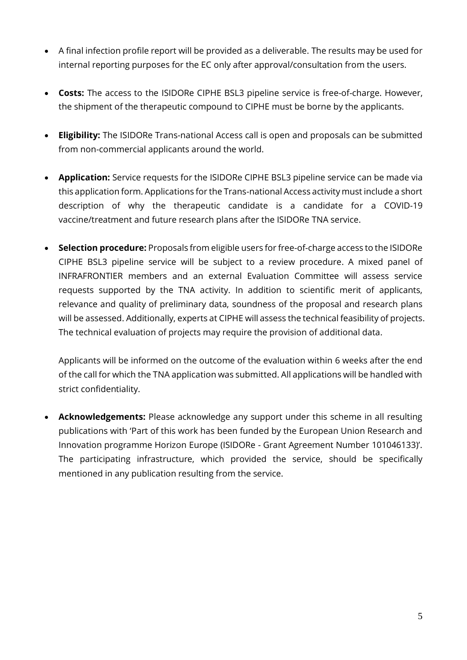- A final infection profile report will be provided as a deliverable. The results may be used for internal reporting purposes for the EC only after approval/consultation from the users.
- **Costs:** The access to the ISIDORe CIPHE BSL3 pipeline service is free-of-charge. However, the shipment of the therapeutic compound to CIPHE must be borne by the applicants.
- **Eligibility:** The ISIDORe Trans-national Access call is open and proposals can be submitted from non-commercial applicants around the world.
- **Application:** Service requests for the ISIDORe CIPHE BSL3 pipeline service can be made via this application form. Applications for the Trans-national Access activity must include a short description of why the therapeutic candidate is a candidate for a COVID-19 vaccine/treatment and future research plans after the ISIDORe TNA service.
- **Selection procedure:** Proposals from eligible users for free-of-charge access to the ISIDORe CIPHE BSL3 pipeline service will be subject to a review procedure. A mixed panel of INFRAFRONTIER members and an external Evaluation Committee will assess service requests supported by the TNA activity. In addition to scientific merit of applicants, relevance and quality of preliminary data, soundness of the proposal and research plans will be assessed. Additionally, experts at CIPHE will assess the technical feasibility of projects. The technical evaluation of projects may require the provision of additional data.

Applicants will be informed on the outcome of the evaluation within 6 weeks after the end of the call for which the TNA application was submitted. All applications will be handled with strict confidentiality.

• **Acknowledgements:** Please acknowledge any support under this scheme in all resulting publications with 'Part of this work has been funded by the European Union Research and Innovation programme Horizon Europe (ISIDORe - Grant Agreement Number 101046133)'. The participating infrastructure, which provided the service, should be specifically mentioned in any publication resulting from the service.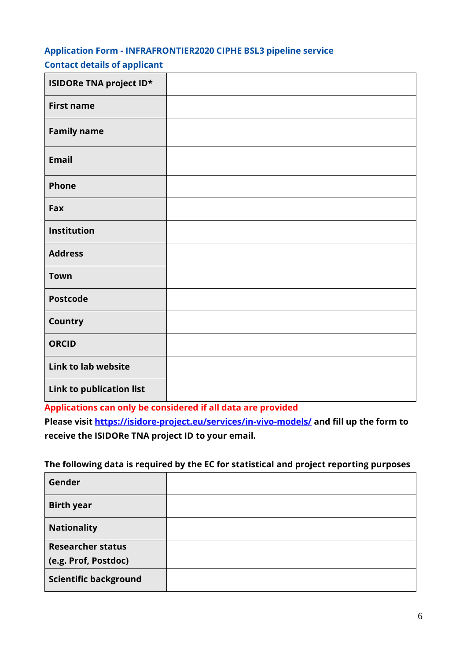# **Application Form - INFRAFRONTIER2020 CIPHE BSL3 pipeline service Contact details of applicant**

| ISIDORe TNA project ID*  |  |
|--------------------------|--|
| <b>First name</b>        |  |
| <b>Family name</b>       |  |
| <b>Email</b>             |  |
| Phone                    |  |
| Fax                      |  |
| Institution              |  |
| <b>Address</b>           |  |
| <b>Town</b>              |  |
| <b>Postcode</b>          |  |
| <b>Country</b>           |  |
| <b>ORCID</b>             |  |
| Link to lab website      |  |
| Link to publication list |  |

**Applications can only be considered if all data are provided** 

**Please visit<https://isidore-project.eu/services/in-vivo-models/> and fill up the form to receive the ISIDORe TNA project ID to your email.** 

# **The following data is required by the EC for statistical and project reporting purposes**

| Gender                       |  |
|------------------------------|--|
| <b>Birth year</b>            |  |
| <b>Nationality</b>           |  |
| <b>Researcher status</b>     |  |
| (e.g. Prof, Postdoc)         |  |
| <b>Scientific background</b> |  |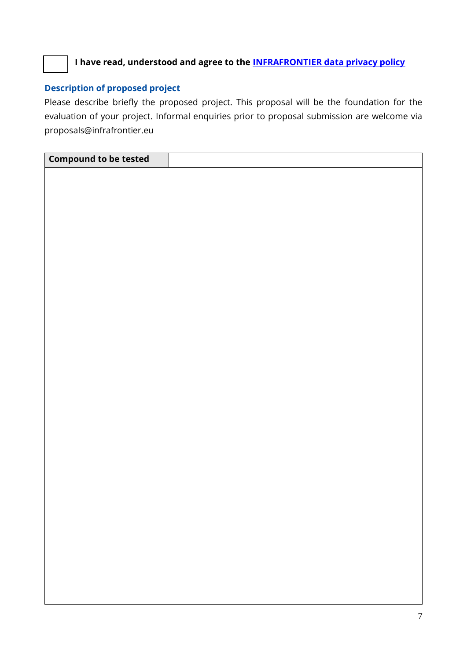

**I have read, understood and agree to the [INFRAFRONTIER data privacy policy](https://www.infrafrontier.eu/procedures/legal-issues/data-privacy-statement)**

# **Description of proposed project**

Please describe briefly the proposed project. This proposal will be the foundation for the evaluation of your project. Informal enquiries prior to proposal submission are welcome via [proposals@infrafrontier.eu](mailto:proposals@infrafrontier.eu)

| <b>Compound to be tested</b> |  |
|------------------------------|--|
|                              |  |
|                              |  |
|                              |  |
|                              |  |
|                              |  |
|                              |  |